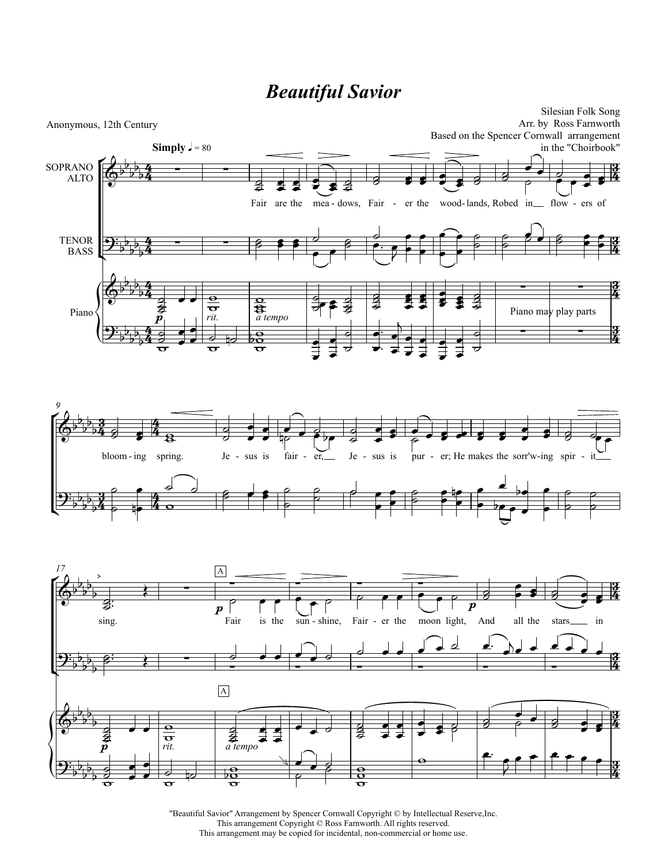## *Beautiful Savior*



"Beautiful Savior" Arrangement by Spencer Cornwall Copyright © by Intellectual Reserve,Inc. This arrangement Copyright © Ross Farnworth. All rights reserved. This arrangement may be copied for incidental, non-commercial or home use.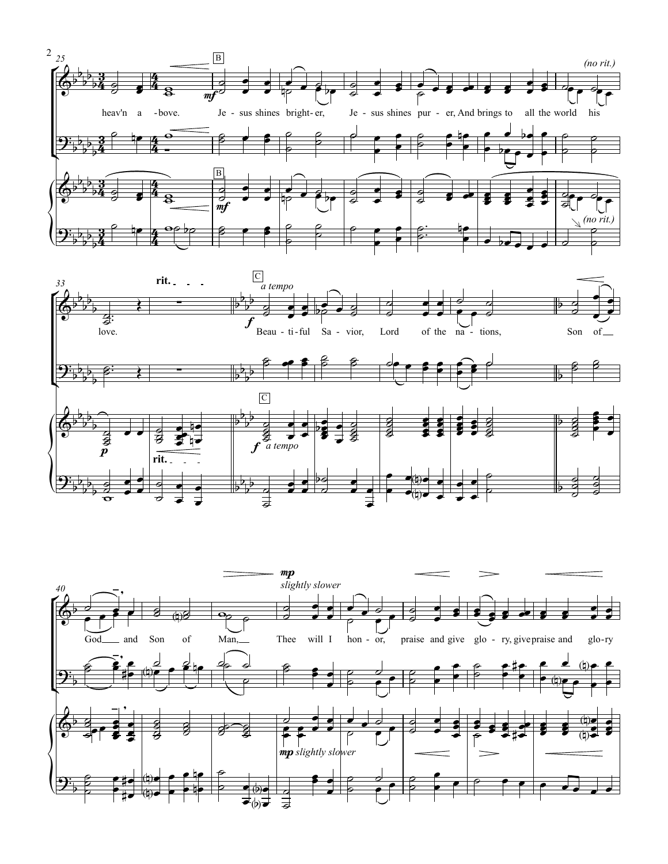